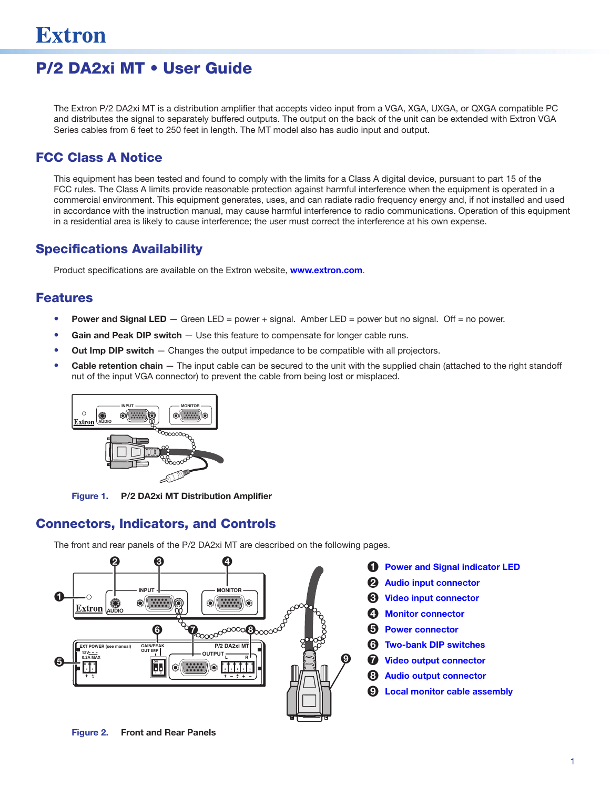# P/2 DA2xi MT • User Guide

The Extron P/2 DA2xi MT is a distribution amplifier that accepts video input from a VGA, XGA, UXGA, or QXGA compatible PC and distributes the signal to separately buffered outputs. The output on the back of the unit can be extended with Extron VGA Series cables from 6 feet to 250 feet in length. The MT model also has audio input and output.

# FCC Class A Notice

This equipment has been tested and found to comply with the limits for a Class A digital device, pursuant to part 15 of the FCC rules. The Class A limits provide reasonable protection against harmful interference when the equipment is operated in a commercial environment. This equipment generates, uses, and can radiate radio frequency energy and, if not installed and used in accordance with the instruction manual, may cause harmful interference to radio communications. Operation of this equipment in a residential area is likely to cause interference; the user must correct the interference at his own expense.

## Specifications Availability

Product specifications are available on the Extron website, **[www.extron.com](http://www.extron.com)**.

## Features

- **Power and Signal LED**  $-$  Green LED = power + signal. Amber LED = power but no signal. Off = no power.
- Gain and Peak DIP switch Use this feature to compensate for longer cable runs.
- Out Imp DIP switch Changes the output impedance to be compatible with all projectors.
- **Cable retention chain**  $-$  The input cable can be secured to the unit with the supplied chain (attached to the right standoff nut of the input VGA connector) to prevent the cable from being lost or misplaced.



Figure 1. P/2 DA2xi MT Distribution Amplifier

# <span id="page-0-0"></span>Connectors, Indicators, and Controls

The front and rear panels of the P/2 DA2xi MT are described on the following pages.



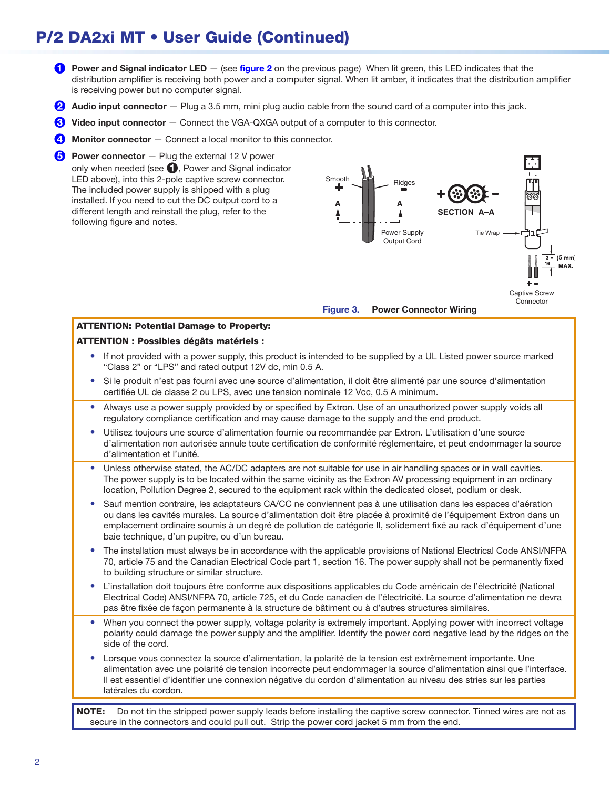# P/2 DA2xi MT • User Guide (Continued)

- <span id="page-1-0"></span>**[1](#page-0-0)** Power and Signal indicator LED  $-$  (see [figure 2](#page-0-0) on the previous page) When lit green, this LED indicates that the distribution amplifier is receiving both power and a computer signal. When lit amber, it indicates that the distribution amplifier is receiving power but no computer signal.
- <span id="page-1-1"></span>**[2](#page-0-0)** Audio input connector  $-$  Plug a 3.5 mm, mini plug audio cable from the sound card of a computer into this jack.
- <span id="page-1-2"></span>**[3](#page-0-0)** Video input connector – Connect the VGA-QXGA output of a computer to this connector.
- <span id="page-1-3"></span>[4](#page-0-0) Monitor connector – Connect a local monitor to this connector.

<span id="page-1-4"></span> $\bullet$  Power connector  $-$  Plug the external 12 V power only when needed (see  $\bigcirc$ , Power and Signal indicator LED above), into this 2-pole captive screw connector. The included power supply is shipped with a plug installed. If you need to cut the DC output cord to a different length and reinstall the plug, refer to the following figure and notes.



Figure 3. Power Connector Wiring

# ATTENTION: Potential Damage to Property:

#### ATTENTION : Possibles dégâts matériels :

- If not provided with a power supply, this product is intended to be supplied by a UL Listed power source marked "Class 2" or "LPS" and rated output 12V dc, min 0.5 A.
- Si le produit n'est pas fourni avec une source d'alimentation, il doit être alimenté par une source d'alimentation certifiée UL de classe 2 ou LPS, avec une tension nominale 12 Vcc, 0.5 A minimum.
- Always use a power supply provided by or specified by Extron. Use of an unauthorized power supply voids all regulatory compliance certification and may cause damage to the supply and the end product.
- Utilisez toujours une source d'alimentation fournie ou recommandée par Extron. L'utilisation d'une source d'alimentation non autorisée annule toute certification de conformité réglementaire, et peut endommager la source d'alimentation et l'unité.
- Unless otherwise stated, the AC/DC adapters are not suitable for use in air handling spaces or in wall cavities. The power supply is to be located within the same vicinity as the Extron AV processing equipment in an ordinary location, Pollution Degree 2, secured to the equipment rack within the dedicated closet, podium or desk.
- Sauf mention contraire, les adaptateurs CA/CC ne conviennent pas à une utilisation dans les espaces d'aération ou dans les cavités murales. La source d'alimentation doit être placée à proximité de l'équipement Extron dans un emplacement ordinaire soumis à un degré de pollution de catégorie II, solidement fixé au rack d'équipement d'une baie technique, d'un pupitre, ou d'un bureau.
- The installation must always be in accordance with the applicable provisions of National Electrical Code ANSI/NFPA 70, article 75 and the Canadian Electrical Code part 1, section 16. The power supply shall not be permanently fixed to building structure or similar structure.
- L'installation doit toujours être conforme aux dispositions applicables du Code américain de l'électricité (National Electrical Code) ANSI/NFPA 70, article 725, et du Code canadien de l'électricité. La source d'alimentation ne devra pas être fixée de façon permanente à la structure de bâtiment ou à d'autres structures similaires.
- When you connect the power supply, voltage polarity is extremely important. Applying power with incorrect voltage polarity could damage the power supply and the amplifier. Identify the power cord negative lead by the ridges on the side of the cord.
- Lorsque vous connectez la source d'alimentation, la polarité de la tension est extrêmement importante. Une alimentation avec une polarité de tension incorrecte peut endommager la source d'alimentation ainsi que l'interface. Il est essentiel d'identifier une connexion négative du cordon d'alimentation au niveau des stries sur les parties latérales du cordon.

NOTE: Do not tin the stripped power supply leads before installing the captive screw connector. Tinned wires are not as secure in the connectors and could pull out. Strip the power cord jacket 5 mm from the end.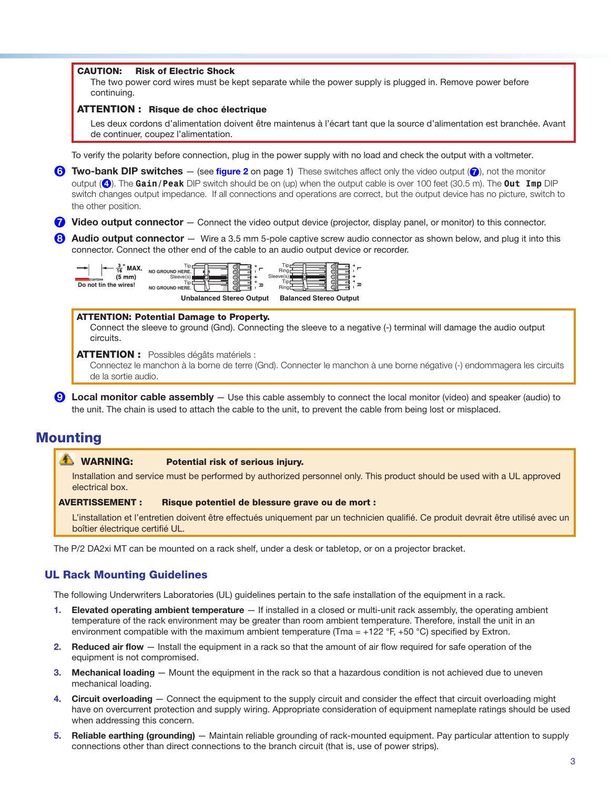#### CAUTION: Risk of Electric Shock

The two power cord wires must be kept separate while the power supply is plugged in. Remove power before continuing.

#### ATTENTION : Risque de choc électrique

Les deux cordons d'alimentation doivent être maintenus à l'écart tant que la source d'alimentation est branchée. Avant de continuer, coupez l'alimentation.

<span id="page-2-0"></span>To verify the polarity before connection, plug in the power supply with no load and check the output with a voltmeter.

- **[6](#page-0-0)** Two-bank DIP switches  $-$  (see [figure 2](#page-0-0) on [page 1](#page-0-0)) These switches affect only the video output ( $\odot$ ), not the monitor output ([4](#page-0-0)). The **Gain/Peak** DIP switch should be on (up) when the output cable is over 100 feet (30.5 m). The **Out Imp** DIP switch changes output impedance. If all connections and operations are correct, but the output device has no picture, switch to the other position.
- <span id="page-2-1"></span> $7$  Video output connector  $-$  Connect the video output device (projector, display panel, or monitor) to this connector.
- <span id="page-2-2"></span>[8](#page-0-0) Audio output connector – Wire a 3.5 mm 5-pole captive screw audio connector as shown below, and plug it into this connector. Connect the other end of the cable to an audio output device or recorder.



#### ATTENTION: Potential Damage to Property.

Connect the sleeve to ground (Gnd). Connecting the sleeve to a negative (-) terminal will damage the audio output circuits.

**ATTENTION :** Possibles dégâts matériels :

<span id="page-2-3"></span>Connectez le manchon à la borne de terre (Gnd). Connecter le manchon à une borne négative (-) endommagera les circuits de la sortie audio.

[9](#page-0-0) Local monitor cable assembly — Use this cable assembly to connect the local monitor (video) and speaker (audio) to the unit. The chain is used to attach the cable to the unit, to prevent the cable from being lost or misplaced.

## Mounting

### WARNING: Potential risk of serious injury.

Installation and service must be performed by authorized personnel only. This product should be used with a UL approved electrical box.

#### AVERTISSEMENT : Risque potentiel de blessure grave ou de mort :

L'installation et l'entretien doivent être effectués uniquement par un technicien qualifié. Ce produit devrait être utilisé avec un boîtier électrique certifié UL.

The P/2 DA2xi MT can be mounted on a rack shelf, under a desk or tabletop, or on a projector bracket.

#### UL Rack Mounting Guidelines

The following Underwriters Laboratories (UL) guidelines pertain to the safe installation of the equipment in a rack.

- 1. Elevated operating ambient temperature If installed in a closed or multi-unit rack assembly, the operating ambient temperature of the rack environment may be greater than room ambient temperature. Therefore, install the unit in an environment compatible with the maximum ambient temperature ( $Tma = +122 \degree F$ , +50  $\degree C$ ) specified by Extron.
- 2. Reduced air flow Install the equipment in a rack so that the amount of air flow required for safe operation of the equipment is not compromised.
- 3. Mechanical loading Mount the equipment in the rack so that a hazardous condition is not achieved due to uneven mechanical loading.
- 4. Circuit overloading Connect the equipment to the supply circuit and consider the effect that circuit overloading might have on overcurrent protection and supply wiring. Appropriate consideration of equipment nameplate ratings should be used when addressing this concern.
- 5. Reliable earthing (grounding) Maintain reliable grounding of rack-mounted equipment. Pay particular attention to supply connections other than direct connections to the branch circuit (that is, use of power strips).